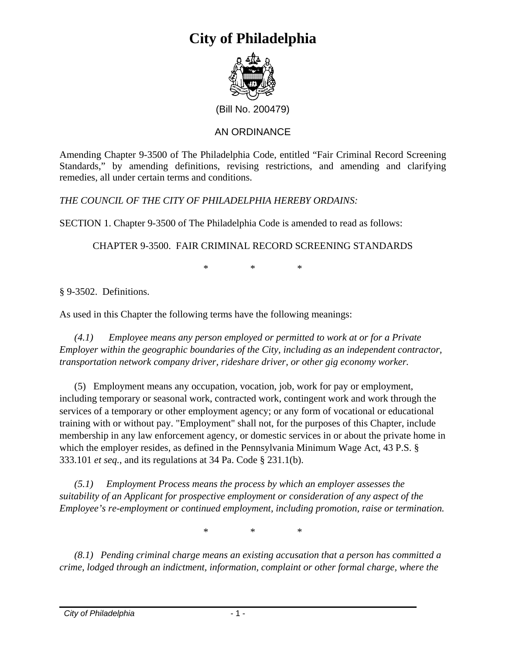

(Bill No. 200479)

### AN ORDINANCE

Amending Chapter 9-3500 of The Philadelphia Code, entitled "Fair Criminal Record Screening Standards," by amending definitions, revising restrictions, and amending and clarifying remedies, all under certain terms and conditions.

*THE COUNCIL OF THE CITY OF PHILADELPHIA HEREBY ORDAINS:* 

SECTION 1. Chapter 9-3500 of The Philadelphia Code is amended to read as follows:

CHAPTER 9-3500. FAIR CRIMINAL RECORD SCREENING STANDARDS

\* \* \*

§ 9-3502. Definitions.

As used in this Chapter the following terms have the following meanings:

*(4.1) Employee means any person employed or permitted to work at or for a Private Employer within the geographic boundaries of the City, including as an independent contractor, transportation network company driver, rideshare driver, or other gig economy worker.* 

(5) Employment means any occupation, vocation, job, work for pay or employment, including temporary or seasonal work, contracted work, contingent work and work through the services of a temporary or other employment agency; or any form of vocational or educational training with or without pay. "Employment" shall not, for the purposes of this Chapter, include membership in any law enforcement agency, or domestic services in or about the private home in which the employer resides, as defined in the Pennsylvania Minimum Wage Act, 43 P.S. § 333.101 *et seq.*, and its regulations at 34 Pa. Code § 231.1(b).

*(5.1) Employment Process means the process by which an employer assesses the suitability of an Applicant for prospective employment or consideration of any aspect of the Employee's re-employment or continued employment, including promotion, raise or termination.* 

\* \* \*

*(8.1) Pending criminal charge means an existing accusation that a person has committed a crime, lodged through an indictment, information, complaint or other formal charge, where the*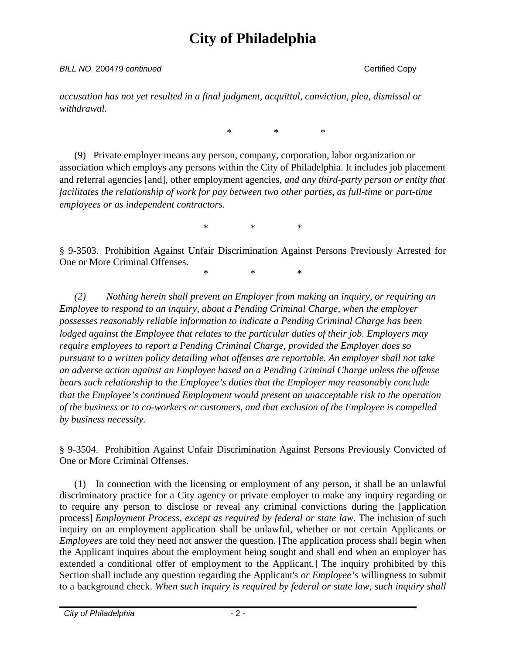#### **BILL NO. 200479** continued Copy **Certified Copy**

*accusation has not yet resulted in a final judgment, acquittal, conviction, plea, dismissal or withdrawal.* 

\* \* \*

(9) Private employer means any person, company, corporation, labor organization or association which employs any persons within the City of Philadelphia. It includes job placement and referral agencies [and]*,* other employment agencies*, and any third-party person or entity that facilitates the relationship of work for pay between two other parties*, *as full-time or part-time employees or as independent contractors.*

\* \* \*

§ 9-3503. Prohibition Against Unfair Discrimination Against Persons Previously Arrested for One or More Criminal Offenses.

\* \* \*

*(2) Nothing herein shall prevent an Employer from making an inquiry, or requiring an Employee to respond to an inquiry, about a Pending Criminal Charge, when the employer possesses reasonably reliable information to indicate a Pending Criminal Charge has been lodged against the Employee that relates to the particular duties of their job. Employers may require employees to report a Pending Criminal Charge, provided the Employer does so pursuant to a written policy detailing what offenses are reportable. An employer shall not take an adverse action against an Employee based on a Pending Criminal Charge unless the offense bears such relationship to the Employee's duties that the Employer may reasonably conclude that the Employee's continued Employment would present an unacceptable risk to the operation of the business or to co-workers or customers, and that exclusion of the Employee is compelled by business necessity.* 

§ 9-3504. Prohibition Against Unfair Discrimination Against Persons Previously Convicted of One or More Criminal Offenses.

(1) In connection with the licensing or employment of any person, it shall be an unlawful discriminatory practice for a City agency or private employer to make any inquiry regarding or to require any person to disclose or reveal any criminal convictions during the [application process] *Employment Process, except as required by federal or state law*. The inclusion of such inquiry on an employment application shall be unlawful, whether or not certain Applicants *or Employees* are told they need not answer the question. [The application process shall begin when the Applicant inquires about the employment being sought and shall end when an employer has extended a conditional offer of employment to the Applicant.] The inquiry prohibited by this Section shall include any question regarding the Applicant's *or Employee's* willingness to submit to a background check. *When such inquiry is required by federal or state law, such inquiry shall*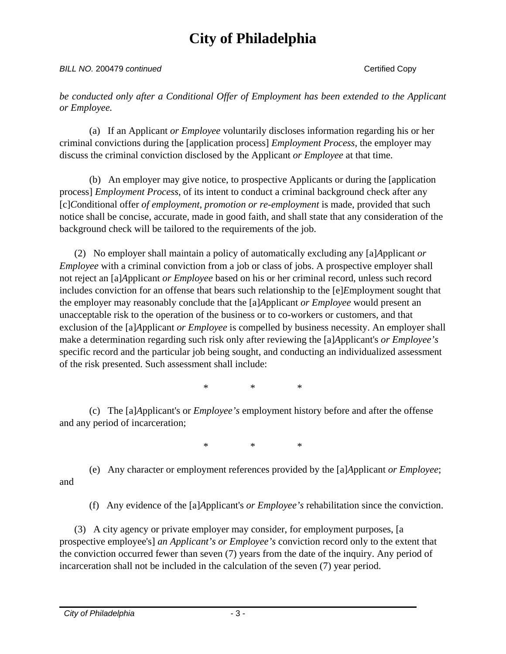#### **BILL NO. 200479** continued Certified Copy

*be conducted only after a Conditional Offer of Employment has been extended to the Applicant or Employee.*

(a) If an Applicant *or Employee* voluntarily discloses information regarding his or her criminal convictions during the [application process] *Employment Process*, the employer may discuss the criminal conviction disclosed by the Applicant *or Employee* at that time.

(b) An employer may give notice, to prospective Applicants or during the [application process] *Employment Process*, of its intent to conduct a criminal background check after any [c]*C*onditional offer *of employment, promotion or re-employment* is made, provided that such notice shall be concise, accurate, made in good faith, and shall state that any consideration of the background check will be tailored to the requirements of the job.

(2) No employer shall maintain a policy of automatically excluding any [a]*A*pplicant *or Employee* with a criminal conviction from a job or class of jobs. A prospective employer shall not reject an [a]*A*pplicant *or Employee* based on his or her criminal record, unless such record includes conviction for an offense that bears such relationship to the [e]*E*mployment sought that the employer may reasonably conclude that the [a]*A*pplicant *or Employee* would present an unacceptable risk to the operation of the business or to co-workers or customers, and that exclusion of the [a]*A*pplicant *or Employee* is compelled by business necessity. An employer shall make a determination regarding such risk only after reviewing the [a]*A*pplicant's *or Employee's* specific record and the particular job being sought, and conducting an individualized assessment of the risk presented. Such assessment shall include:

\* \* \*

(c) The [a]*A*pplicant's or *Employee's* employment history before and after the offense and any period of incarceration;

\* \* \*

(e) Any character or employment references provided by the [a]*A*pplicant *or Employee*; and

(f) Any evidence of the [a]*A*pplicant's *or Employee's* rehabilitation since the conviction.

(3) A city agency or private employer may consider, for employment purposes, [a prospective employee's] *an Applicant's or Employee's* conviction record only to the extent that the conviction occurred fewer than seven (7) years from the date of the inquiry. Any period of incarceration shall not be included in the calculation of the seven (7) year period.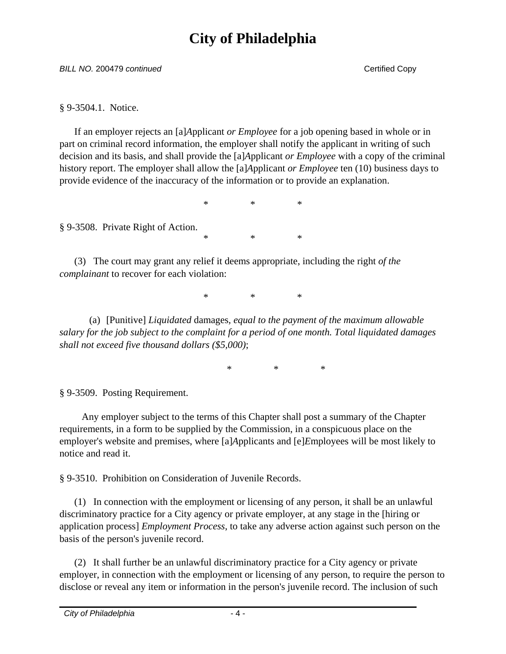**BILL NO. 200479** continued Copy **Certified Copy** 

§ 9-3504.1. Notice.

If an employer rejects an [a]*A*pplicant *or Employee* for a job opening based in whole or in part on criminal record information, the employer shall notify the applicant in writing of such decision and its basis, and shall provide the [a]*A*pplicant *or Employee* with a copy of the criminal history report. The employer shall allow the [a]*A*pplicant *or Employee* ten (10) business days to provide evidence of the inaccuracy of the information or to provide an explanation.

\* \* \*

\* \* \*

§ 9-3508. Private Right of Action.

(3) The court may grant any relief it deems appropriate, including the right *of the complainant* to recover for each violation:

\* \* \*

(a) [Punitive] *Liquidated* damages*, equal to the payment of the maximum allowable salary for the job subject to the complaint for a period of one month. Total liquidated damages shall not exceed five thousand dollars (\$5,000)*;

\* \* \*

§ 9-3509. Posting Requirement.

 Any employer subject to the terms of this Chapter shall post a summary of the Chapter requirements, in a form to be supplied by the Commission, in a conspicuous place on the employer's website and premises, where [a]*A*pplicants and [e]*E*mployees will be most likely to notice and read it.

§ 9-3510. Prohibition on Consideration of Juvenile Records.

(1) In connection with the employment or licensing of any person, it shall be an unlawful discriminatory practice for a City agency or private employer, at any stage in the [hiring or application process] *Employment Process*, to take any adverse action against such person on the basis of the person's juvenile record.

(2) It shall further be an unlawful discriminatory practice for a City agency or private employer, in connection with the employment or licensing of any person, to require the person to disclose or reveal any item or information in the person's juvenile record. The inclusion of such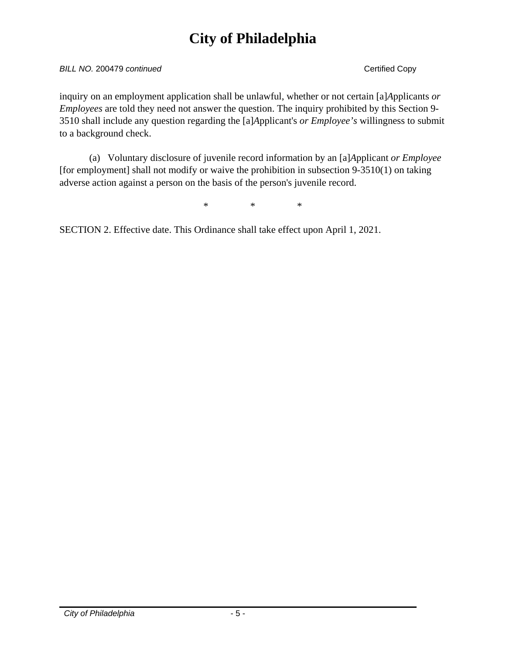#### **BILL NO. 200479** continued Certified Copy

inquiry on an employment application shall be unlawful, whether or not certain [a]*A*pplicants *or Employees* are told they need not answer the question. The inquiry prohibited by this Section 9- 3510 shall include any question regarding the [a]*A*pplicant's *or Employee's* willingness to submit to a background check.

(a) Voluntary disclosure of juvenile record information by an [a]*A*pplicant *or Employee* [for employment] shall not modify or waive the prohibition in subsection 9-3510(1) on taking adverse action against a person on the basis of the person's juvenile record.

\* \* \*

SECTION 2. Effective date. This Ordinance shall take effect upon April 1, 2021.